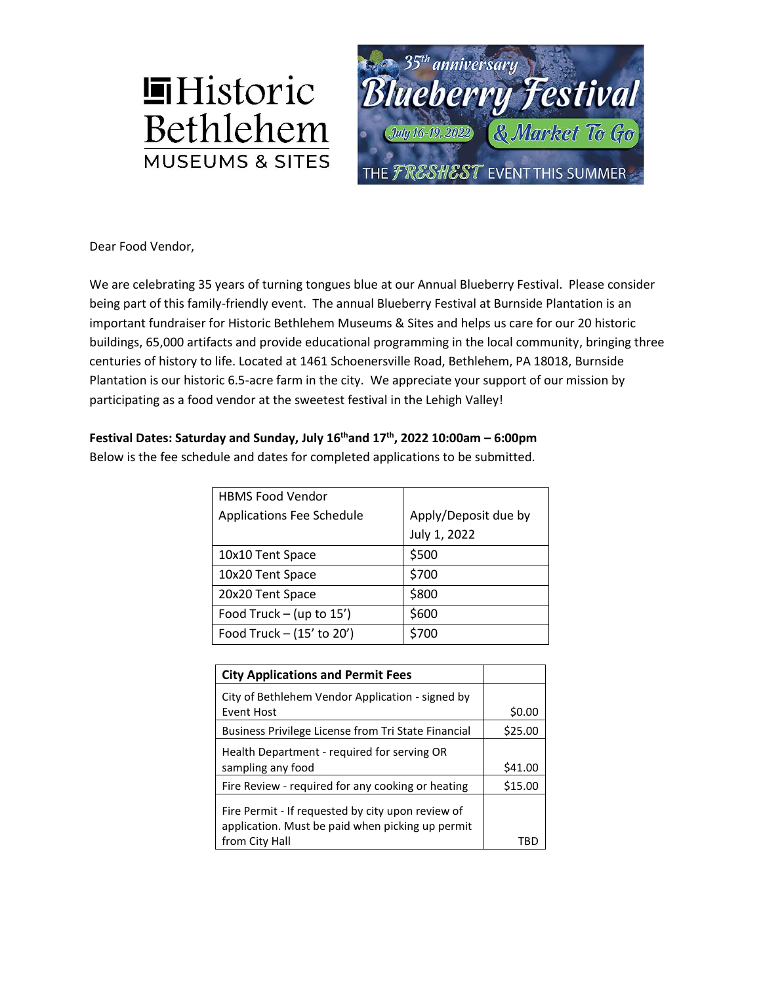



Dear Food Vendor,

We are celebrating 35 years of turning tongues blue at our Annual Blueberry Festival. Please consider being part of this family-friendly event. The annual Blueberry Festival at Burnside Plantation is an important fundraiser for Historic Bethlehem Museums & Sites and helps us care for our 20 historic buildings, 65,000 artifacts and provide educational programming in the local community, bringing three centuries of history to life. Located at 1461 Schoenersville Road, Bethlehem, PA 18018, Burnside Plantation is our historic 6.5-acre farm in the city. We appreciate your support of our mission by participating as a food vendor at the sweetest festival in the Lehigh Valley!

#### **Festival Dates: Saturday and Sunday, July 16 thand 17 th, 2022 10:00am – 6:00pm**

HBMS Food Vendor Applications Fee Schedule | Apply/Deposit due by July 1, 2022 10x10 Tent Space | \$500 10x20 Tent Space | \$700 20x20 Tent Space | \$800 Food Truck – (up to  $15'$ )  $\big|$  \$600 Food Truck –  $(15'$  to 20') | \$700

Below is the fee schedule and dates for completed applications to be submitted.

| <b>City Applications and Permit Fees</b>                                                                                |         |
|-------------------------------------------------------------------------------------------------------------------------|---------|
| City of Bethlehem Vendor Application - signed by<br><b>Event Host</b>                                                   | \$0.00  |
| Business Privilege License from Tri State Financial                                                                     | \$25.00 |
| Health Department - required for serving OR<br>sampling any food                                                        | \$41.00 |
| Fire Review - required for any cooking or heating                                                                       | \$15.00 |
| Fire Permit - If requested by city upon review of<br>application. Must be paid when picking up permit<br>from City Hall |         |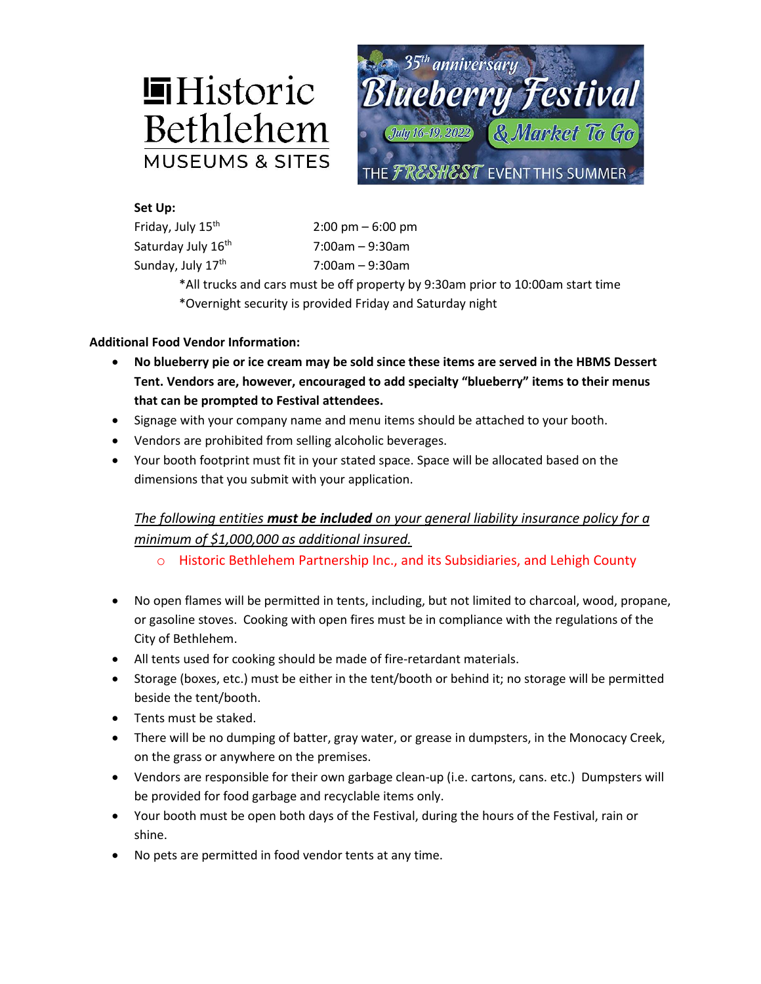# $\blacksquare$ Historic Bethlehem **MUSEUMS & SITES**



#### **Set Up:**

Friday, July  $15^{th}$  2:00 pm – 6:00 pm Saturday July  $16^{th}$  7:00am – 9:30am Sunday, July  $17<sup>th</sup>$  7:00am – 9:30am \*All trucks and cars must be off property by 9:30am prior to 10:00am start time \*Overnight security is provided Friday and Saturday night

#### **Additional Food Vendor Information:**

- **No blueberry pie or ice cream may be sold since these items are served in the HBMS Dessert Tent. Vendors are, however, encouraged to add specialty "blueberry" items to their menus that can be prompted to Festival attendees.**
- Signage with your company name and menu items should be attached to your booth.
- Vendors are prohibited from selling alcoholic beverages.
- Your booth footprint must fit in your stated space. Space will be allocated based on the dimensions that you submit with your application.

### *The following entities must be included on your general liability insurance policy for a minimum of \$1,000,000 as additional insured.*

- o Historic Bethlehem Partnership Inc., and its Subsidiaries, and Lehigh County
- No open flames will be permitted in tents, including, but not limited to charcoal, wood, propane, or gasoline stoves. Cooking with open fires must be in compliance with the regulations of the City of Bethlehem.
- All tents used for cooking should be made of fire-retardant materials.
- Storage (boxes, etc.) must be either in the tent/booth or behind it; no storage will be permitted beside the tent/booth.
- Tents must be staked.
- There will be no dumping of batter, gray water, or grease in dumpsters, in the Monocacy Creek, on the grass or anywhere on the premises.
- Vendors are responsible for their own garbage clean-up (i.e. cartons, cans. etc.) Dumpsters will be provided for food garbage and recyclable items only.
- Your booth must be open both days of the Festival, during the hours of the Festival, rain or shine.
- No pets are permitted in food vendor tents at any time.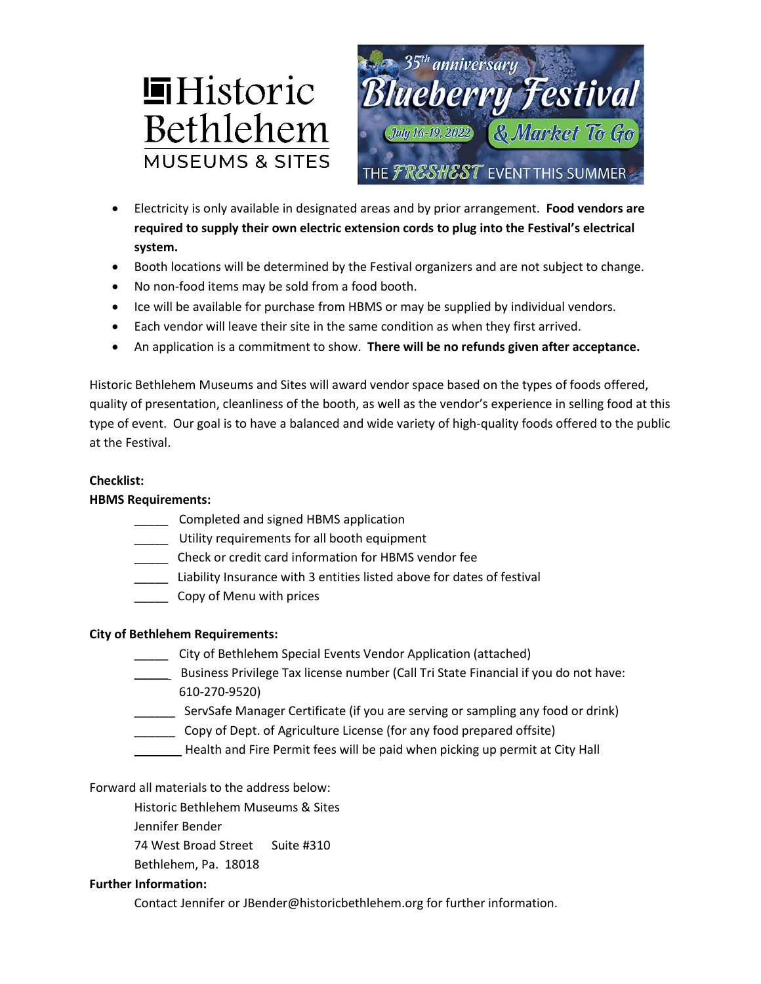



- Electricity is only available in designated areas and by prior arrangement. **Food vendors are required to supply their own electric extension cords to plug into the Festival's electrical system.**
- Booth locations will be determined by the Festival organizers and are not subject to change.
- No non-food items may be sold from a food booth.
- Ice will be available for purchase from HBMS or may be supplied by individual vendors.
- Each vendor will leave their site in the same condition as when they first arrived.
- An application is a commitment to show. **There will be no refunds given after acceptance.**

Historic Bethlehem Museums and Sites will award vendor space based on the types of foods offered, quality of presentation, cleanliness of the booth, as well as the vendor's experience in selling food at this type of event. Our goal is to have a balanced and wide variety of high-quality foods offered to the public at the Festival.

#### **Checklist:**

#### **HBMS Requirements:**

- \_\_\_\_\_ Completed and signed HBMS application
- \_\_\_\_\_ Utility requirements for all booth equipment
- \_\_\_\_\_ Check or credit card information for HBMS vendor fee
- \_\_\_\_\_ Liability Insurance with 3 entities listed above for dates of festival
- Copy of Menu with prices

#### **City of Bethlehem Requirements:**

- \_\_\_\_\_ City of Bethlehem Special Events Vendor Application (attached)
- \_\_\_\_\_ Business Privilege Tax license number (Call Tri State Financial if you do not have: 610-270-9520)
- \_\_\_\_\_\_ ServSafe Manager Certificate (if you are serving or sampling any food or drink)
- \_\_\_\_\_\_ Copy of Dept. of Agriculture License (for any food prepared offsite)
- Health and Fire Permit fees will be paid when picking up permit at City Hall

#### Forward all materials to the address below:

Historic Bethlehem Museums & Sites

Jennifer Bender

74 West Broad Street Suite #310

Bethlehem, Pa. 18018

#### **Further Information:**

Contact Jennifer or JBender@historicbethlehem.org for further information.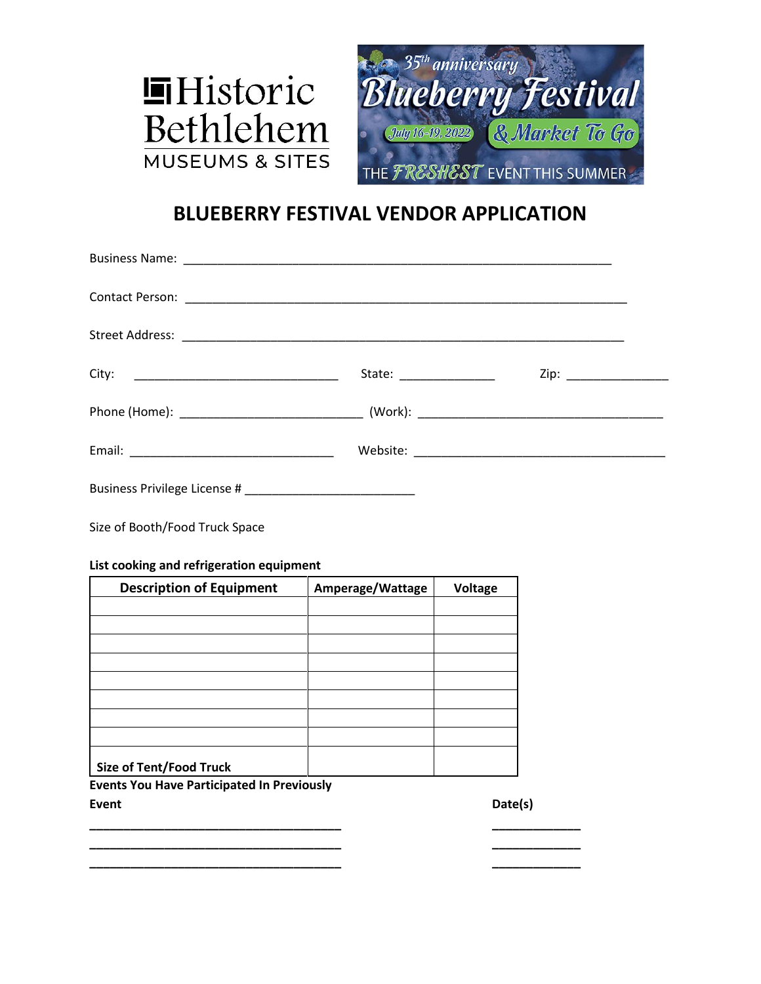



## **BLUEBERRY FESTIVAL VENDOR APPLICATION**

|                                          |                  | State: ________________ | Zip: _________________ |  |  |
|------------------------------------------|------------------|-------------------------|------------------------|--|--|
|                                          |                  |                         |                        |  |  |
|                                          |                  |                         |                        |  |  |
|                                          |                  |                         |                        |  |  |
| Size of Booth/Food Truck Space           |                  |                         |                        |  |  |
| List cooking and refrigeration equipment |                  |                         |                        |  |  |
| <b>Description of Equipment</b>          | Amperage/Wattage | <b>Voltage</b>          |                        |  |  |
|                                          |                  |                         |                        |  |  |
|                                          |                  |                         |                        |  |  |

| Size of Tent/Food Truck |  |
|-------------------------|--|

**\_\_\_\_\_\_\_\_\_\_\_\_\_\_\_\_\_\_\_\_\_\_\_\_\_\_\_\_\_\_\_\_\_\_\_\_\_ \_\_\_\_\_\_\_\_\_\_\_\_\_ \_\_\_\_\_\_\_\_\_\_\_\_\_\_\_\_\_\_\_\_\_\_\_\_\_\_\_\_\_\_\_\_\_\_\_\_\_ \_\_\_\_\_\_\_\_\_\_\_\_\_ \_\_\_\_\_\_\_\_\_\_\_\_\_\_\_\_\_\_\_\_\_\_\_\_\_\_\_\_\_\_\_\_\_\_\_\_\_ \_\_\_\_\_\_\_\_\_\_\_\_\_**

**Events You Have Participated In Previously Event Date(s)**